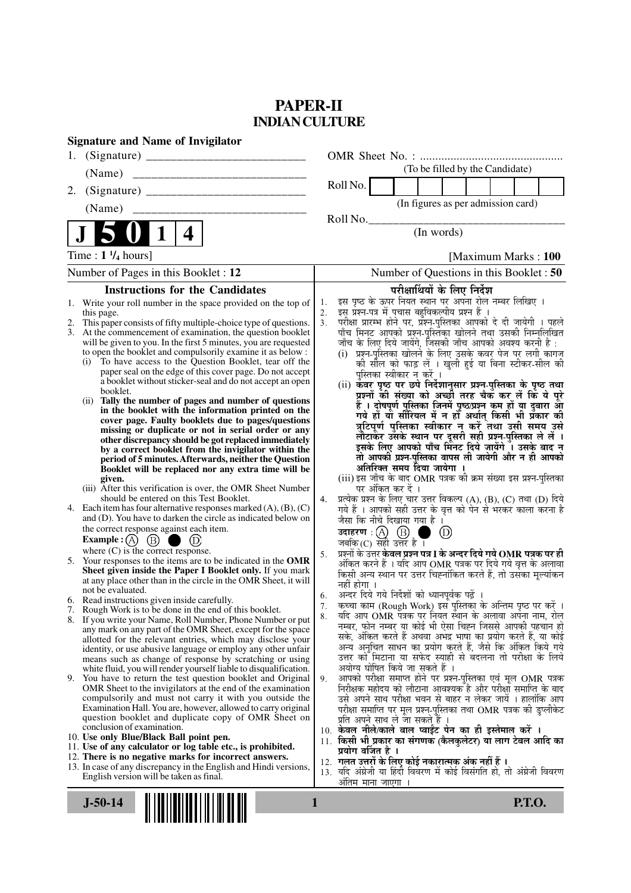## **PAPER-II INDIAN CULTURE**

| <b>Signature and Name of Invigilator</b>                                                                                                                                                                                                                                                                                                                                                                                                                                                                                                                                                                                                                                                                                                                                                                                                                                                                                                                                                                                                                                                                                                                                                                                                                                                                                                                                                                                                                                                                                                                                                                                                                                                                                                                                                                                                                                                                                                                                                                                                                                                                                                                                                                                                                                                                                                                                                                                                              |                                                                                                                                                                                                                                                                                                                                                                                                                                                                                                                                                                                                                                                                                                                                                                                                                                                                                                                                                                                                                                                                                                                                                                                                                                                                                                                                                                                                                                                                                                                                                                                                                                                                                                                                                                                                                                                                                                                                                                                                                                                                                                                                                                                                                                                                                                                                                                                                |
|-------------------------------------------------------------------------------------------------------------------------------------------------------------------------------------------------------------------------------------------------------------------------------------------------------------------------------------------------------------------------------------------------------------------------------------------------------------------------------------------------------------------------------------------------------------------------------------------------------------------------------------------------------------------------------------------------------------------------------------------------------------------------------------------------------------------------------------------------------------------------------------------------------------------------------------------------------------------------------------------------------------------------------------------------------------------------------------------------------------------------------------------------------------------------------------------------------------------------------------------------------------------------------------------------------------------------------------------------------------------------------------------------------------------------------------------------------------------------------------------------------------------------------------------------------------------------------------------------------------------------------------------------------------------------------------------------------------------------------------------------------------------------------------------------------------------------------------------------------------------------------------------------------------------------------------------------------------------------------------------------------------------------------------------------------------------------------------------------------------------------------------------------------------------------------------------------------------------------------------------------------------------------------------------------------------------------------------------------------------------------------------------------------------------------------------------------------|------------------------------------------------------------------------------------------------------------------------------------------------------------------------------------------------------------------------------------------------------------------------------------------------------------------------------------------------------------------------------------------------------------------------------------------------------------------------------------------------------------------------------------------------------------------------------------------------------------------------------------------------------------------------------------------------------------------------------------------------------------------------------------------------------------------------------------------------------------------------------------------------------------------------------------------------------------------------------------------------------------------------------------------------------------------------------------------------------------------------------------------------------------------------------------------------------------------------------------------------------------------------------------------------------------------------------------------------------------------------------------------------------------------------------------------------------------------------------------------------------------------------------------------------------------------------------------------------------------------------------------------------------------------------------------------------------------------------------------------------------------------------------------------------------------------------------------------------------------------------------------------------------------------------------------------------------------------------------------------------------------------------------------------------------------------------------------------------------------------------------------------------------------------------------------------------------------------------------------------------------------------------------------------------------------------------------------------------------------------------------------------------|
| 1.                                                                                                                                                                                                                                                                                                                                                                                                                                                                                                                                                                                                                                                                                                                                                                                                                                                                                                                                                                                                                                                                                                                                                                                                                                                                                                                                                                                                                                                                                                                                                                                                                                                                                                                                                                                                                                                                                                                                                                                                                                                                                                                                                                                                                                                                                                                                                                                                                                                    |                                                                                                                                                                                                                                                                                                                                                                                                                                                                                                                                                                                                                                                                                                                                                                                                                                                                                                                                                                                                                                                                                                                                                                                                                                                                                                                                                                                                                                                                                                                                                                                                                                                                                                                                                                                                                                                                                                                                                                                                                                                                                                                                                                                                                                                                                                                                                                                                |
| (Name)                                                                                                                                                                                                                                                                                                                                                                                                                                                                                                                                                                                                                                                                                                                                                                                                                                                                                                                                                                                                                                                                                                                                                                                                                                                                                                                                                                                                                                                                                                                                                                                                                                                                                                                                                                                                                                                                                                                                                                                                                                                                                                                                                                                                                                                                                                                                                                                                                                                | (To be filled by the Candidate)                                                                                                                                                                                                                                                                                                                                                                                                                                                                                                                                                                                                                                                                                                                                                                                                                                                                                                                                                                                                                                                                                                                                                                                                                                                                                                                                                                                                                                                                                                                                                                                                                                                                                                                                                                                                                                                                                                                                                                                                                                                                                                                                                                                                                                                                                                                                                                |
| 2.                                                                                                                                                                                                                                                                                                                                                                                                                                                                                                                                                                                                                                                                                                                                                                                                                                                                                                                                                                                                                                                                                                                                                                                                                                                                                                                                                                                                                                                                                                                                                                                                                                                                                                                                                                                                                                                                                                                                                                                                                                                                                                                                                                                                                                                                                                                                                                                                                                                    | Roll No.                                                                                                                                                                                                                                                                                                                                                                                                                                                                                                                                                                                                                                                                                                                                                                                                                                                                                                                                                                                                                                                                                                                                                                                                                                                                                                                                                                                                                                                                                                                                                                                                                                                                                                                                                                                                                                                                                                                                                                                                                                                                                                                                                                                                                                                                                                                                                                                       |
| (Name)                                                                                                                                                                                                                                                                                                                                                                                                                                                                                                                                                                                                                                                                                                                                                                                                                                                                                                                                                                                                                                                                                                                                                                                                                                                                                                                                                                                                                                                                                                                                                                                                                                                                                                                                                                                                                                                                                                                                                                                                                                                                                                                                                                                                                                                                                                                                                                                                                                                | (In figures as per admission card)                                                                                                                                                                                                                                                                                                                                                                                                                                                                                                                                                                                                                                                                                                                                                                                                                                                                                                                                                                                                                                                                                                                                                                                                                                                                                                                                                                                                                                                                                                                                                                                                                                                                                                                                                                                                                                                                                                                                                                                                                                                                                                                                                                                                                                                                                                                                                             |
|                                                                                                                                                                                                                                                                                                                                                                                                                                                                                                                                                                                                                                                                                                                                                                                                                                                                                                                                                                                                                                                                                                                                                                                                                                                                                                                                                                                                                                                                                                                                                                                                                                                                                                                                                                                                                                                                                                                                                                                                                                                                                                                                                                                                                                                                                                                                                                                                                                                       | Roll No.<br>(In words)                                                                                                                                                                                                                                                                                                                                                                                                                                                                                                                                                                                                                                                                                                                                                                                                                                                                                                                                                                                                                                                                                                                                                                                                                                                                                                                                                                                                                                                                                                                                                                                                                                                                                                                                                                                                                                                                                                                                                                                                                                                                                                                                                                                                                                                                                                                                                                         |
| 4                                                                                                                                                                                                                                                                                                                                                                                                                                                                                                                                                                                                                                                                                                                                                                                                                                                                                                                                                                                                                                                                                                                                                                                                                                                                                                                                                                                                                                                                                                                                                                                                                                                                                                                                                                                                                                                                                                                                                                                                                                                                                                                                                                                                                                                                                                                                                                                                                                                     |                                                                                                                                                                                                                                                                                                                                                                                                                                                                                                                                                                                                                                                                                                                                                                                                                                                                                                                                                                                                                                                                                                                                                                                                                                                                                                                                                                                                                                                                                                                                                                                                                                                                                                                                                                                                                                                                                                                                                                                                                                                                                                                                                                                                                                                                                                                                                                                                |
| Time : $1 \frac{1}{4}$ hours]                                                                                                                                                                                                                                                                                                                                                                                                                                                                                                                                                                                                                                                                                                                                                                                                                                                                                                                                                                                                                                                                                                                                                                                                                                                                                                                                                                                                                                                                                                                                                                                                                                                                                                                                                                                                                                                                                                                                                                                                                                                                                                                                                                                                                                                                                                                                                                                                                         | [Maximum Marks: 100                                                                                                                                                                                                                                                                                                                                                                                                                                                                                                                                                                                                                                                                                                                                                                                                                                                                                                                                                                                                                                                                                                                                                                                                                                                                                                                                                                                                                                                                                                                                                                                                                                                                                                                                                                                                                                                                                                                                                                                                                                                                                                                                                                                                                                                                                                                                                                            |
| Number of Pages in this Booklet : 12                                                                                                                                                                                                                                                                                                                                                                                                                                                                                                                                                                                                                                                                                                                                                                                                                                                                                                                                                                                                                                                                                                                                                                                                                                                                                                                                                                                                                                                                                                                                                                                                                                                                                                                                                                                                                                                                                                                                                                                                                                                                                                                                                                                                                                                                                                                                                                                                                  | Number of Questions in this Booklet : 50                                                                                                                                                                                                                                                                                                                                                                                                                                                                                                                                                                                                                                                                                                                                                                                                                                                                                                                                                                                                                                                                                                                                                                                                                                                                                                                                                                                                                                                                                                                                                                                                                                                                                                                                                                                                                                                                                                                                                                                                                                                                                                                                                                                                                                                                                                                                                       |
| <b>Instructions for the Candidates</b>                                                                                                                                                                                                                                                                                                                                                                                                                                                                                                                                                                                                                                                                                                                                                                                                                                                                                                                                                                                                                                                                                                                                                                                                                                                                                                                                                                                                                                                                                                                                                                                                                                                                                                                                                                                                                                                                                                                                                                                                                                                                                                                                                                                                                                                                                                                                                                                                                | परीक्षार्थियों के लिए निर्देश                                                                                                                                                                                                                                                                                                                                                                                                                                                                                                                                                                                                                                                                                                                                                                                                                                                                                                                                                                                                                                                                                                                                                                                                                                                                                                                                                                                                                                                                                                                                                                                                                                                                                                                                                                                                                                                                                                                                                                                                                                                                                                                                                                                                                                                                                                                                                                  |
| 1. Write your roll number in the space provided on the top of<br>this page.<br>This paper consists of fifty multiple-choice type of questions.<br>2.<br>At the commencement of examination, the question booklet<br>will be given to you. In the first 5 minutes, you are requested<br>to open the booklet and compulsorily examine it as below :<br>To have access to the Question Booklet, tear off the<br>(i)<br>paper seal on the edge of this cover page. Do not accept<br>a booklet without sticker-seal and do not accept an open<br>booklet.<br>(ii) Tally the number of pages and number of questions<br>in the booklet with the information printed on the<br>cover page. Faulty booklets due to pages/questions<br>missing or duplicate or not in serial order or any<br>other discrepancy should be got replaced immediately<br>by a correct booklet from the invigilator within the<br>period of 5 minutes. Afterwards, neither the Question<br>Booklet will be replaced nor any extra time will be<br>given.<br>(iii) After this verification is over, the OMR Sheet Number<br>should be entered on this Test Booklet.<br>4.<br>Each item has four alternative responses marked $(A)$ , $(B)$ , $(C)$<br>and (D). You have to darken the circle as indicated below on<br>the correct response against each item.<br><b>Example</b> : $(A)$<br>(B)<br>where $(C)$ is the correct response.<br>5. Your responses to the items are to be indicated in the OMR<br>Sheet given inside the Paper I Booklet only. If you mark<br>at any place other than in the circle in the OMR Sheet, it will<br>not be evaluated.<br>6. Read instructions given inside carefully.<br>7. Rough Work is to be done in the end of this booklet.<br>8. If you write your Name, Roll Number, Phone Number or put<br>any mark on any part of the OMR Sheet, except for the space<br>allotted for the relevant entries, which may disclose your<br>identity, or use abusive language or employ any other unfair<br>means such as change of response by scratching or using<br>white fluid, you will render yourself liable to disqualification.<br>9. You have to return the test question booklet and Original<br>OMR Sheet to the invigilators at the end of the examination<br>compulsorily and must not carry it with you outside the<br>Examination Hall. You are, however, allowed to carry original<br>question booklet and duplicate copy of OMR Sheet on | इस पृष्ठ के ऊपर नियत स्थान पर अपना रोल नम्बर लिखिए ।<br>1.<br>इस प्रश्न-पत्र में पचास बहुविकल्पीय प्रश्न हैं ।<br>2.<br>परीक्षा प्रारम्भ होने पर, प्रश्न-पुस्तिका आपको दे दी जायेगी । पहले<br>3 <sub>1</sub><br>पाँच मिनट आपको प्रश्न-पुस्तिका खोलने तथा उसकी निम्नलिखित<br>जाँच के लिए दिये जायेंगे, जिसकी जाँच आपको अवश्य करनी है :<br>(i) प्रश्न-पुस्तिका खोलने के लिए उसके कवर पेज पर लगी कागज<br>की सील को फाड़ लें । खुली हुई या बिना स्टीकर-सील की<br>पुस्तिका स्वीकार न करें ।<br>(ii) कवर पृष्ठ पर छपे निर्देशानुसार प्रश्न-पुस्तिका के पृष्ठ तथा<br>प्रश्नों की संख्या को अच्छों तरह चैक कर लें कि ये पूरे<br>हैं । दोषपूर्ण पुस्तिका जिनमें पृष्ठ⁄प्रश्न कम हों या दुबारा आ<br>गये हो या सीरियल में न हो अर्थात् किसी भी प्रकार की<br>त्रुटिपूर्ण पुस्तिका स्वीकार न करें तथा उसी समय उसे<br>लौटाकेंर उसके स्थान पर दूसरी सही प्रश्न-पुस्तिका ले लें ।<br>इसके लिए आपको पाँच मिनट दिये जायेंगे । उसके बाद न<br>तो आपकी प्रश्न-पुस्तिका वापस ली जायेगी और न ही आपको<br>अतिरिक्त समय दिया जायेगा<br>(iii) इस जाँच के बाद OMR पत्रक की क्रम संख्या इस प्रश्न-पुस्तिका<br>पर अंकित कर दें ।<br>प्रत्येक प्रश्न के लिए चार उत्तर विकल्प (A), (B), (C) तथा (D) दिये<br>4.<br>गये हैं । आपको सही उत्तर के वृत्त को पेन से भरकर काला करना है<br>जैसा कि नीचे दिखाया गया है।<br>उदाहरण $\,$ : $(A)$ $(B)$<br>(D)<br>जबकि(C) सही उत्तर है।<br>प्रश्नों के उत्तर <b>केवल प्रश्न पत्र I के अन्दर दिये गये OMR पत्रक पर ही</b><br>5.<br>अंकित करने हैं । यदि आप OMR पत्रक पर दिये गये वृत्त के अलावा<br>किसी अन्य स्थान पर उत्तर चिह्नांकित करते हैं, तो उसँका मूल्यांकन<br>नहीं होगा ।<br>अन्दर दिये गये निर्देशों को ध्यानपूर्वक पढ़ें ।<br>6.<br>कच्चा काम (Rough Work) इस पुस्तिका के अन्तिम पृष्ठ पर करें ।<br>7.<br>यदि आप OMR पत्रक पर नियत स्थान के अलावा अपना नाम, रोल<br>8.<br>नम्बर, फोन नम्बर या कोई भी ऐसा चिह्न जिससे आपकी पहचान हो<br>सके, अंकित करते हैं अथवा अभद्र भाषा का प्रयोग करते हैं, या कोई<br>अन्य अनुचित साधन का प्रयोग करते हैं, जैसे कि अंकित किये गये<br>उत्तर को मिटाना या सफेद स्याही से बदलना तो परीक्षा के लिये<br>अयोग्य घोषित किये जा सकते हैं ।<br>आपको परीक्षा समाप्त होने पर प्रश्न-पुस्तिका एवं मूल OMR पत्रक<br>9.<br>निरीक्षक महोदय को लौटाना आवश्यक है और परीक्षा समाप्ति के बाद<br>उसे अपने साथ परीक्षा भवन से बाहर न लेकर जायें । हालांकि आप<br>परीक्षा समाप्ति पर मूल प्रश्न-पुस्तिका तथा OMR पत्रक की डुप्लीकेट<br>प्रति अपने साथ ले जा सकते हैं । |
| conclusion of examination.<br>10. Use only Blue/Black Ball point pen.                                                                                                                                                                                                                                                                                                                                                                                                                                                                                                                                                                                                                                                                                                                                                                                                                                                                                                                                                                                                                                                                                                                                                                                                                                                                                                                                                                                                                                                                                                                                                                                                                                                                                                                                                                                                                                                                                                                                                                                                                                                                                                                                                                                                                                                                                                                                                                                 | 10. केवल नीले/काले बाल प्वाईंट पेन का ही इस्तेमाल करें ।<br>11. किसी भी प्रकार का संगणक (कैलकुलेटर) या लाग टेबल आदि का                                                                                                                                                                                                                                                                                                                                                                                                                                                                                                                                                                                                                                                                                                                                                                                                                                                                                                                                                                                                                                                                                                                                                                                                                                                                                                                                                                                                                                                                                                                                                                                                                                                                                                                                                                                                                                                                                                                                                                                                                                                                                                                                                                                                                                                                         |
| 11. Use of any calculator or log table etc., is prohibited.<br>12. There is no negative marks for incorrect answers.                                                                                                                                                                                                                                                                                                                                                                                                                                                                                                                                                                                                                                                                                                                                                                                                                                                                                                                                                                                                                                                                                                                                                                                                                                                                                                                                                                                                                                                                                                                                                                                                                                                                                                                                                                                                                                                                                                                                                                                                                                                                                                                                                                                                                                                                                                                                  | प्रयोग वर्जित है ।                                                                                                                                                                                                                                                                                                                                                                                                                                                                                                                                                                                                                                                                                                                                                                                                                                                                                                                                                                                                                                                                                                                                                                                                                                                                                                                                                                                                                                                                                                                                                                                                                                                                                                                                                                                                                                                                                                                                                                                                                                                                                                                                                                                                                                                                                                                                                                             |
| 13. In case of any discrepancy in the English and Hindi versions,<br>English version will be taken as final.                                                                                                                                                                                                                                                                                                                                                                                                                                                                                                                                                                                                                                                                                                                                                                                                                                                                                                                                                                                                                                                                                                                                                                                                                                                                                                                                                                                                                                                                                                                                                                                                                                                                                                                                                                                                                                                                                                                                                                                                                                                                                                                                                                                                                                                                                                                                          | 12. गलत उत्तरों के लिए कोई नकारात्मक अंक नहीं हैं ।<br>13. यदि अंग्रेजी या हिंदी विवरण में कोई विसंगति हो, तो अंग्रेजी विवरण<br>अतिम माना जाएगा                                                                                                                                                                                                                                                                                                                                                                                                                                                                                                                                                                                                                                                                                                                                                                                                                                                                                                                                                                                                                                                                                                                                                                                                                                                                                                                                                                                                                                                                                                                                                                                                                                                                                                                                                                                                                                                                                                                                                                                                                                                                                                                                                                                                                                                |
| $J-50-14$                                                                                                                                                                                                                                                                                                                                                                                                                                                                                                                                                                                                                                                                                                                                                                                                                                                                                                                                                                                                                                                                                                                                                                                                                                                                                                                                                                                                                                                                                                                                                                                                                                                                                                                                                                                                                                                                                                                                                                                                                                                                                                                                                                                                                                                                                                                                                                                                                                             | 1<br><b>P.T.O.</b>                                                                                                                                                                                                                                                                                                                                                                                                                                                                                                                                                                                                                                                                                                                                                                                                                                                                                                                                                                                                                                                                                                                                                                                                                                                                                                                                                                                                                                                                                                                                                                                                                                                                                                                                                                                                                                                                                                                                                                                                                                                                                                                                                                                                                                                                                                                                                                             |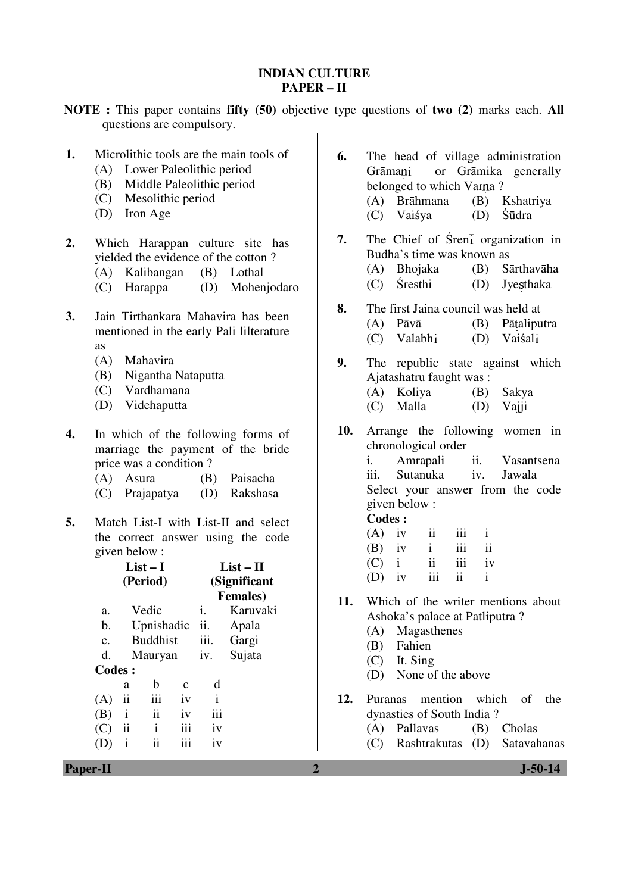## **INDIAN CULTURE PAPER – II**

- **NOTE :** This paper contains **fifty (50)** objective type questions of **two (2)** marks each. **All** questions are compulsory.
- **1.** Microlithic tools are the main tools of
	- (A) Lower Paleolithic period
	- (B) Middle Paleolithic period
	- (C) Mesolithic period
	- (D) Iron Age
- **2.** Which Harappan culture site has yielded the evidence of the cotton ?
	- (A) Kalibangan (B) Lothal
	- (C) Harappa (D) Mohenjodaro
- **3.** Jain Tirthankara Mahavira has been mentioned in the early Pali lilterature as
	- (A) Mahavira
	- (B) Nigantha Nataputta
	- (C) Vardhamana
	- (D) Videhaputta
- **4.** In which of the following forms of marriage the payment of the bride price was a condition ?
	- (A) Asura (B) Paisacha
	- (C) Prajapatya (D) Rakshasa
- **5.** Match List-I with List-II and select the correct answer using the code given below :

|                |                     | $List-I$        |             | $List-II$        |          |  |
|----------------|---------------------|-----------------|-------------|------------------|----------|--|
|                |                     | (Period)        |             | (Significant     |          |  |
|                |                     |                 |             | <b>Females</b> ) |          |  |
| a.             |                     | Vedic           |             | 1.               | Karuvaki |  |
| b.             |                     | Upnishadic      |             | ii.              | Apala    |  |
| $\mathbf{c}$ . |                     | <b>Buddhist</b> |             | iii.             | Gargi    |  |
| d.             | Mauryan             |                 |             | iv.              | Sujata   |  |
|                | <b>Codes:</b>       |                 |             |                  |          |  |
|                | a                   | b               | $\mathbf c$ | d                |          |  |
| (A)            | ii                  | iii             | iv          | $\mathbf{i}$     |          |  |
| (B)            | $\mathbf{i}$        | $\mathbf{ii}$   | iv          | iii              |          |  |
| (C)            | $\ddot{\mathbf{i}}$ | i               | iii         | iv               |          |  |
|                | i                   | ii              |             | iv               |          |  |

- **6.** The head of village administration Grāmani or Grāmika generally belonged to which Varna? (A) Brāhmana (B) Kshatriya (C) Vaiśya (D) Śūdra **7.** The Chief of Stent organization in
- Budha's time was known as (A) Bhojaka (B) Sārthavāha  $(C)$  Śresthi  $(D)$  Jyesthaka
- **8.** The first Jaina council was held at (A) Pāvā (B) Pātalinu (B) Pātaliputra  $(C)$  Valabh $\overline{i}$  (D) Vaisal $\overline{i}$
- **9.** The republic state against which Ajatashatru faught was :
	- (A) Koliya (B) Sakya
	- (C) Malla (D) Vajji
- **10.** Arrange the following women in chronological order i. Amrapali ii. Vasantsena
	- iii. Sutanuka iv. Jawala Select your answer from the code given below :

#### **Codes :**

| $(A)$ iv | $\overrightarrow{\mathbf{i}}$ | iii           | $\mathbf{i}$            |
|----------|-------------------------------|---------------|-------------------------|
| $(B)$ iv | $\mathbf{i}$                  | iii           | $\overline{\mathbf{u}}$ |
| $(C)$ i  | ii                            | iii           | $\mathbf{i}$            |
| $(D)$ iv | iii                           | $\mathbf{ii}$ | $\mathbf{i}$            |

- **11.** Which of the writer mentions about Ashoka's palace at Patliputra ?
	- (A) Magasthenes
	- (B) Fahien
	- (C) It. Sing
	- (D) None of the above
- **12.** Puranas mention which of the dynasties of South India ?
	- (A) Pallavas (B) Cholas
	- (C) Rashtrakutas (D) Satavahanas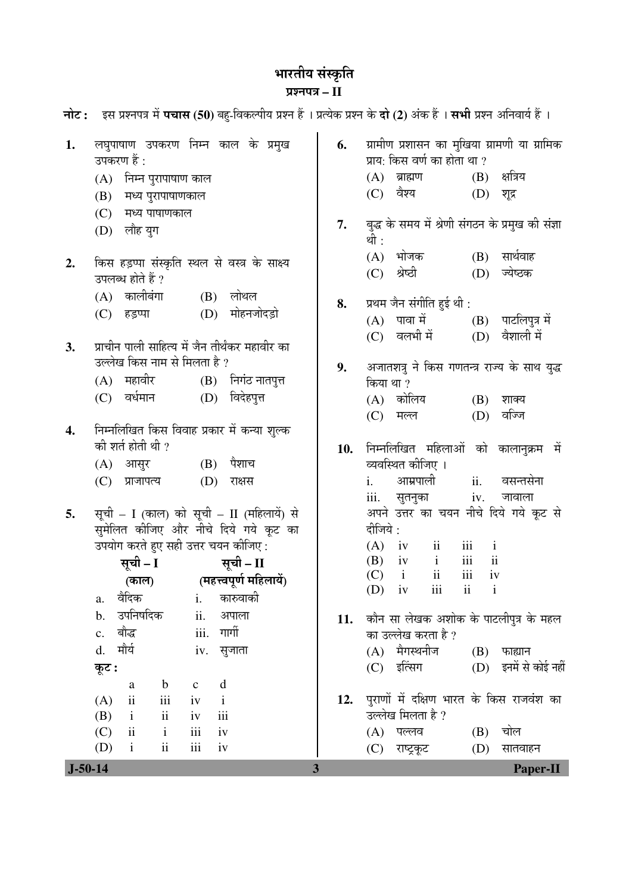# भारतीय संस्कृति

## प्रश्नपत्र – II

|           | नोट :     इस प्रश्नपत्र में <b>पचास (50</b> ) बहु-विकल्पीय प्रश्न हैं । प्रत्येक प्रश्न के <b>दो (2</b> ) अंक हैं । <b>सभी</b> प्रश्न अनिवार्य हैं । |     |                                                                                |
|-----------|------------------------------------------------------------------------------------------------------------------------------------------------------|-----|--------------------------------------------------------------------------------|
| 1.        | लघुपाषाण उपकरण निम्न काल के प्रमुख<br>उपकरण हैं :                                                                                                    | 6.  | ग्रामीण प्रशासन का मुखिया ग्रामणी या ग्रामिक<br>प्राय: किस वर्ण का होता था ?   |
|           | (A) निम्न पुरापाषाण काल                                                                                                                              |     | क्षत्रिय<br>$(A)$ ब्राह्मण<br>(B)                                              |
|           | मध्य पुरापाषाणकाल<br>(B)                                                                                                                             |     | वैश्य<br>(C)<br>(D)<br>शूद्र                                                   |
|           | $(C)$ मध्य पाषाणकाल                                                                                                                                  |     |                                                                                |
|           | लौह युग<br>(D)                                                                                                                                       | 7.  | बुद्ध के समय में श्रेणी संगठन के प्रमुख की संज्ञा<br>थी :                      |
| 2.        | किस हड़प्पा संस्कृति स्थल से वस्त्र के साक्ष्य                                                                                                       |     | सार्थवाह<br>(A) भोजक<br>(B)<br>श्रेष्ठी<br>ज्येष्ठक<br>(C)<br>(D)              |
|           | उपलब्ध होते हैं ?                                                                                                                                    |     |                                                                                |
|           | (A) कालीबंगा<br>लोथल<br>(B)                                                                                                                          | 8.  | प्रथम जैन संगीति हुई थी :                                                      |
|           | मोहनजोदड़ो<br>(D)<br>(C) हड़प्पा                                                                                                                     |     | (B) पाटलिपुत्र में<br>(A) पावा में                                             |
| 3.        | प्राचीन पाली साहित्य में जैन तीर्थंकर महावीर का                                                                                                      |     | वैशाली में<br>(C) वलभी में<br>(D)                                              |
|           | उल्लेख किस नाम से मिलता है ?                                                                                                                         | 9.  | अजातशत्रु ने किस गणतन्त्र राज्य के साथ युद्ध                                   |
|           | (A) महावीर<br>(B) निगंठ नातपुत्त                                                                                                                     |     | किया था ?                                                                      |
|           | वर्धमान<br>विदेहपुत्त<br>(D)<br>(C)                                                                                                                  |     | (A) कोलिय<br>(B)<br>शाक्य                                                      |
|           |                                                                                                                                                      |     | वज्जि<br>(D)<br>(C)<br>मल्ल                                                    |
| 4.        | निम्नलिखित किस विवाह प्रकार में कन्या शुल्क                                                                                                          |     |                                                                                |
|           | की शर्त होती थी ?                                                                                                                                    | 10. | निम्नलिखित महिलाओं को कालानुक्रम में                                           |
|           | (B)<br>पैशाच<br>आसुर<br>(A)                                                                                                                          |     | व्यवस्थित कीजिए ।                                                              |
|           | प्राजापत्य<br>(C)<br>(D)<br>राक्षस                                                                                                                   |     | आम्रपाली<br>ii.<br>वसन्तसेना<br>$i_{\cdot}$<br>iii.<br>iv.<br>जावाला           |
| 5.        | सूची – I (काल) को सूची – II (महिलायें) से                                                                                                            |     | सुतनुका<br>अपने उत्तर का चयन नीचे दिये गये कूट से                              |
|           | सुमेलित कीजिए और नीचे दिये गये कूट का                                                                                                                |     | दीजिये :                                                                       |
|           | उपयोग करते हुए सही उत्तर चयन कीजिए:                                                                                                                  |     | iii<br>ii<br>$(A)$ iv<br>$\mathbf{i}$                                          |
|           | सूची - II<br>सूची – I                                                                                                                                |     | $\overline{\textbf{ii}}$<br>$\rm iii$<br>$\rm i$<br>iv<br>(B)<br>$\,$ ii       |
|           | (काल) (महत्त्वपूर्ण महिलायें)                                                                                                                        |     | $\,$ iii<br>$(C)$ i<br>iv<br>(D)<br>iii<br>$\mathbf{ii}$<br>iv<br>$\mathbf{i}$ |
|           | वैदिक<br><u>i. कारुवाकी</u><br>a.                                                                                                                    |     |                                                                                |
|           | उपनिषदिक<br>ii.<br>अपाला<br>$\mathbf b$ .<br>बौद्ध                                                                                                   | 11. | कौन सा लेखक अशोक के पाटलीपुत्र के महल                                          |
|           | iii.<br>गार्गी<br>$\mathbf{c}$ .<br>मौर्य<br>d.                                                                                                      |     | का उल्लेख करता है ?                                                            |
|           | सुजाता<br>iv.<br>कूट :                                                                                                                               |     | (A) मैगस्थनीज<br>(B)<br>फाह्यान<br>(D) इनमें से कोई नहीं<br>(C) इत्सिंग        |
|           | d<br>$\mathbf b$<br>a<br>$\mathbf C$                                                                                                                 |     |                                                                                |
|           | $\rm ii$<br>iii<br>(A)<br>$\mathbf{i}$<br>iv                                                                                                         | 12. | पुराणों में दक्षिण भारत के किस राजवंश का                                       |
|           | iii<br>$\rm ii$<br>(B)<br>$\mathbf{i}$<br>iv                                                                                                         |     | उल्लेख मिलता है ?                                                              |
|           | $\rm ii$<br>(C)<br>iii<br>$\mathbf{i}$<br>iv                                                                                                         |     | चोल<br>$(A)$ पल्लव<br>(B)                                                      |
|           | $\rm ii$<br>$\,$ iii<br>$\mathbf{i}$<br>(D)<br>iv                                                                                                    |     | राष्ट्रकूट<br>(D)<br>(C)<br>सातवाहन                                            |
| $J-50-14$ | 3                                                                                                                                                    |     | <b>Paper-II</b>                                                                |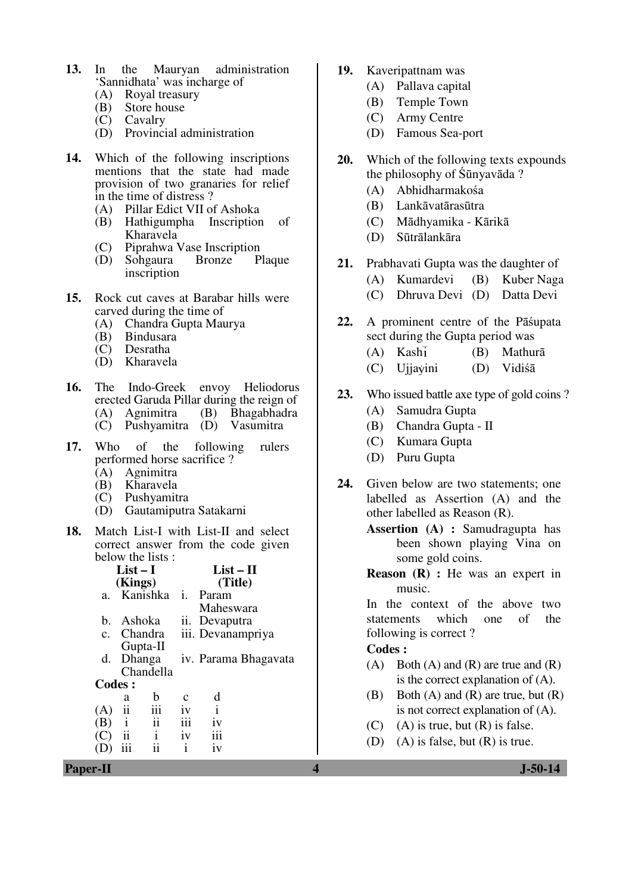- **13.** In the Mauryan administration 'Sannidhata' was incharge of
	- (A) Royal treasury
	- (B) Store house<br>(C) Cavalry
	- **Cavalry**
	- (D) Provincial administration
- **14.** Which of the following inscriptions mentions that the state had made provision of two granaries for relief in the time of distress ?
	- (A) Pillar Edict VII of Ashoka
	- (B) Hathigumpha Inscription of Kharavela
	-
	- (C) Piprahwa Vase Inscription Sohgaura inscription
- **15.** Rock cut caves at Barabar hills were carved during the time of
	- (A) Chandra Gupta Maurya
	-
	- (B) Bindusara<br>(C) Desratha (C) Desratha<br>(D) Kharavela
	- Kharavela
- **16.** The Indo-Greek envoy Heliodorus erected Garuda Pillar during the reign of<br>
(A) Agnimitra (B) Bhagabhadra
	- (A) Agnimitra (B) Bhagabhadra
	- Pushyamitra  $(D)$
- **17.** Who of the following rulers performed horse sacrifice ?
	- (A) Agnimitra
	- Kharavela
	- (C) Pushyamitra
	- (D) Gautamiputra Satakarni
- **18.** Match List-I with List-II and select correct answer from the code given below the lists :

|               | $List-I$      |              | $List - II$  |                      |  |  |
|---------------|---------------|--------------|--------------|----------------------|--|--|
|               | (Kings)       |              | (Title)      |                      |  |  |
| a.            |               | Kanishka     |              | <i>i</i> . Param     |  |  |
|               |               |              |              | Maheswara            |  |  |
| b.            | Ashoka        |              |              | ii. Devaputra        |  |  |
|               |               | c. Chandra   |              | iii. Devanampriya    |  |  |
|               |               | Gupta-II     |              |                      |  |  |
| d.            |               | Dhanga       |              | iv. Parama Bhagavata |  |  |
|               |               | Chandella    |              |                      |  |  |
| <b>Codes:</b> |               |              |              |                      |  |  |
|               | a             | b            | c            | d                    |  |  |
| (A)           | ii -          | iii          | iv           | $\mathbf{i}$         |  |  |
| (B)           | $\mathbf{i}$  | ii           | iii          | iv                   |  |  |
| (C)           | $\mathbf{ii}$ | $\mathbf{i}$ | iv           | iii                  |  |  |
|               | iii           | ii           | $\mathbf{i}$ | iv                   |  |  |
|               |               |              |              |                      |  |  |

- **19.** Kaveripattnam was
	- (A) Pallava capital
	- (B) Temple Town
	- (C) Army Centre
	- (D) Famous Sea-port
- **20.** Which of the following texts expounds the philosophy of Śūnyavāda ?
	- (A) Abhidharmakośa
	- (B) Lankāvatārasūtra
	- (C) Mādhyamika Kārikā
	- (D) Sūtrālankāra
- **21.** Prabhavati Gupta was the daughter of
	- (A) Kumardevi (B) Kuber Naga
	- (C) Dhruva Devi (D) Datta Devi
- **22.** A prominent centre of the Pāśupata sect during the Gupta period was
	- $(A)$  Kashi  $(B)$  Mathura
	- (C) Ujjavini (D) Vidiśā
- **23.** Who issued battle axe type of gold coins ?
	- (A) Samudra Gupta
	- (B) Chandra Gupta II
	- (C) Kumara Gupta
	- (D) Puru Gupta
- **24.** Given below are two statements; one labelled as Assertion (A) and the other labelled as Reason (R).
	- **Assertion (A) :** Samudragupta has been shown playing Vina on some gold coins.
	- **Reason (R) :** He was an expert in music.

 In the context of the above two statements which one of the following is correct ?

## **Codes :**

- $(A)$  Both  $(A)$  and  $(R)$  are true and  $(R)$ is the correct explanation of (A).
- $(B)$  Both  $(A)$  and  $(R)$  are true, but  $(R)$ is not correct explanation of (A).
- $(C)$  (A) is true, but  $(R)$  is false.
- (D) (A) is false, but (R) is true.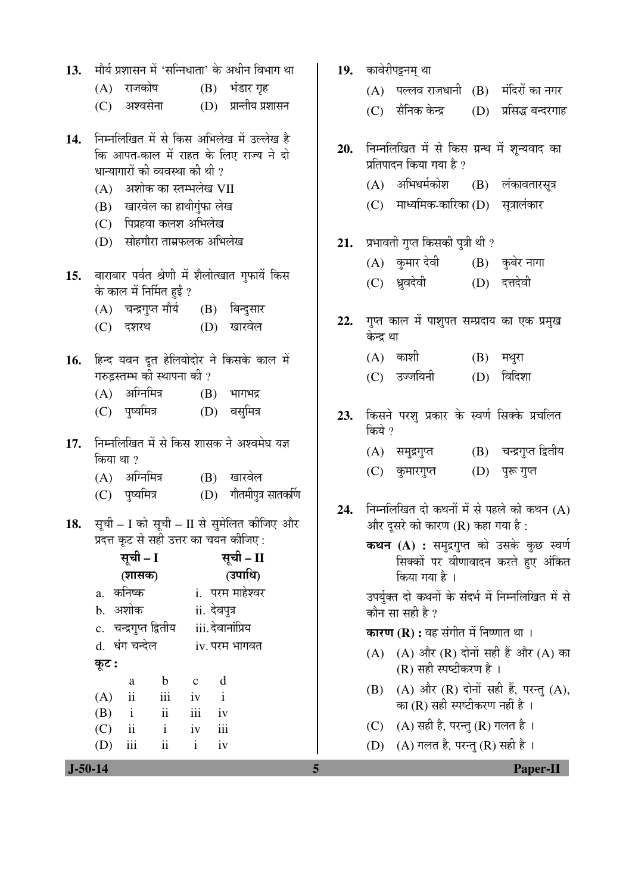| 13.           | मौर्य प्रशासन में 'सन्निधाता' के अधीन विभाग था                                                                          | <b>19.</b> | कावेरीपट्टनम् था                                                                |
|---------------|-------------------------------------------------------------------------------------------------------------------------|------------|---------------------------------------------------------------------------------|
|               | राजकोष<br>$(B)$ भंडार गृह<br>(A)                                                                                        |            | (A) पल्लव राजधानी (B) मंदिरों का नगर                                            |
|               | (D) प्रान्तीय प्रशासन<br>(C) अश्वसेना                                                                                   |            | सैनिक केन्द्र<br>प्रसिद्ध बन्दरगाह<br>(C)<br>(D)                                |
| 14.           | निम्नलिखित में से किस अभिलेख में उल्लेख है<br>कि आपत-काल में राहत के लिए राज्य ने दो<br>धान्यागारों की व्यवस्था की थी ? | 20.        | निम्नलिखित में से किस ग्रन्थ में शून्यवाद का<br>प्रतिपादन किया गया है ?         |
|               | (A) अशोक का स्तम्भलेख VII                                                                                               |            | (A) अभिधर्मकोश (B) लंकावतारसूत्र                                                |
|               | (B) खारवेल का हाथीगुंफा लेख                                                                                             |            | (C) माध्यमिक-कारिका (D)<br>सुत्रालंकार                                          |
|               | (C) पिप्रहवा कलश अभिलेख                                                                                                 |            |                                                                                 |
|               | (D) सोहगौरा ताम्रफलक अभिलेख                                                                                             |            | 21. प्रभावती गुप्त किसकी पुत्री थी ?                                            |
|               |                                                                                                                         |            | (A) कुमार देवी<br>(B) कुबेर नागा                                                |
| 15.           | बाराबार पर्वत श्रेणी में शैलोत्खात गुफायें किस<br>के काल में निर्मित हुईं ?                                             |            | (C) ध्रुवदेवी<br>(D) दत्तदेवी                                                   |
|               | (A) चन्द्रगुप्त मौर्य (B) बिन्दुसार                                                                                     |            |                                                                                 |
|               | खारवेल<br>(C) दशरथ<br>(D)                                                                                               | 22.        | गुप्त काल में पाशुपत सम्प्रदाय का एक प्रमुख<br>केन्द्र था                       |
| 16.           | हिन्द यवन दूत हेलियोदोर ने किसके काल में                                                                                |            | $(A)$ काशी<br>(B) मथुरा                                                         |
|               | गरुड़स्तम्भ की स्थापना की ?                                                                                             |            | विदिशा<br>(C) उज्जयिनी<br>(D)                                                   |
|               | (A) अग्निमित्र<br>$(B)$ भागभद्र                                                                                         |            |                                                                                 |
|               | (C) पुष्यमित्र<br>(D) वसुमित्र                                                                                          |            | 23. किसने परशु प्रकार के स्वर्ण सिक्के प्रचलित<br>किये ?                        |
| 17.           | निम्नलिखित में से किस शासक ने अश्वमेघ यज्ञ                                                                              |            | (B) चन्द्रगुप्त द्वितीय<br>(A) समुद्रगुप्त                                      |
|               | किया था ?<br>(A) अग्निमित्र<br>$(B)$ खारवेल                                                                             |            | (C)<br>कुमारगुप्त<br>पुरू गुप्त<br>(D)                                          |
|               | (C) पुष्यमित्र<br>(D) गौतमीपुत्र सातकर्णि                                                                               |            |                                                                                 |
|               | 18. सूची – I को सूची – II से सुमेलित कीजिए और                                                                           | 24.        | निम्नलिखित दो कथनों में से पहले को कथन (A)<br>और दूसरे को कारण (R) कहा गया है : |
|               | प्रदत्त कूट से सही उत्तर का चयन कीजिए :                                                                                 |            | कथन (A) : समुद्रगुप्त को उसके कुछ स्वर्ण                                        |
|               | सूची – I<br>सूची - II<br>(उपाधि)<br>(शासक)                                                                              |            | सिक्कों पर वीणावादन करते हुए अंकित<br>किया गया है ।                             |
|               | i. परम माहेश्वर<br>a. कनिष्क                                                                                            |            | उपर्युक्त दो कथनों के संदर्भ में निम्नलिखित में से                              |
|               | b. अशोक<br>ii. देवपुत्र                                                                                                 |            | कौन सा सही है ?                                                                 |
|               | चन्द्रगुप्त द्वितीय<br>iii. देवानांप्रिय<br>c.                                                                          |            | <b>कारण (R) :</b> वह संगीत में निष्णात था ।                                     |
|               | d. धंग चन्देल<br>iv. परम भागवत                                                                                          |            | (A) और (R) दोनों सही हैं और (A) का<br>(A)                                       |
|               | कूट :                                                                                                                   |            | (R) सही स्पष्टीकरण है ।                                                         |
|               | d<br>$\mathbf b$<br>a<br>$\mathbf c$<br>iii<br>ii<br>(A)<br>iv<br>$\mathbf{i}$<br>ii<br>iii<br>$\mathbf{i}$             |            | (A) और (R) दोनों सही हैं, परन्तु (A),<br>(B)<br>का (R) सही स्पष्टीकरण नहीं है।  |
|               | (B)<br>iv<br>$\overline{\mathbf{u}}$<br>iii<br>(C)<br>$\mathbf{i}$<br>iv                                                |            | (A) सही है, परन्तु (R) गलत है)।<br>(C)                                          |
|               | ii<br>iii<br>$\mathbf{i}$<br>(D)<br>iv                                                                                  |            | (A) गलत है, परन्तु (R) सही है ।<br>(D)                                          |
| $J - 50 - 14$ | 5                                                                                                                       |            | <b>Paper-II</b>                                                                 |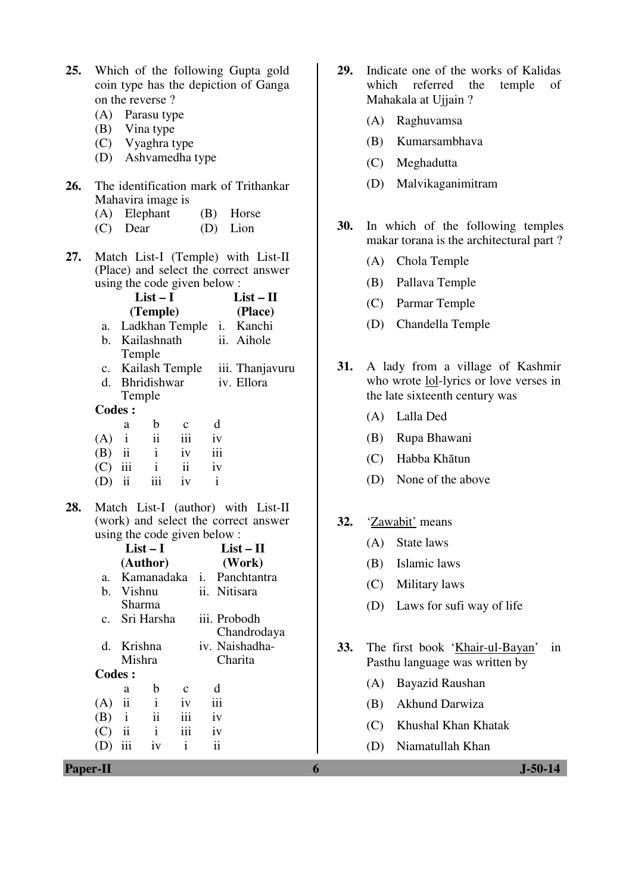| 25. | Which of the following Gupta gold |                         |                             |                         |              |     |                                       |  |
|-----|-----------------------------------|-------------------------|-----------------------------|-------------------------|--------------|-----|---------------------------------------|--|
|     |                                   |                         |                             |                         |              |     | coin type has the depiction of Ganga  |  |
|     |                                   |                         | on the reverse?             |                         |              |     |                                       |  |
|     |                                   |                         | (A) Parasu type             |                         |              |     |                                       |  |
|     |                                   |                         | (B) Vina type               |                         |              |     |                                       |  |
|     |                                   |                         | (C) Vyaghra type            |                         |              |     |                                       |  |
|     |                                   |                         | (D) Ashvamedha type         |                         |              |     |                                       |  |
| 26. |                                   |                         |                             |                         |              |     | The identification mark of Trithankar |  |
|     |                                   |                         | Mahavira image is           |                         |              |     |                                       |  |
|     |                                   |                         | (A) Elephant (B) Horse      |                         |              |     |                                       |  |
|     |                                   | $(C)$ Dear              |                             |                         |              |     | (D) Lion                              |  |
| 27. |                                   |                         |                             |                         |              |     | Match List-I (Temple) with List-II    |  |
|     |                                   |                         |                             |                         |              |     | (Place) and select the correct answer |  |
|     |                                   |                         | using the code given below: |                         |              |     |                                       |  |
|     |                                   |                         | $List-I$                    |                         |              |     | $List - II$                           |  |
|     |                                   |                         | (Temple)                    |                         |              |     | (Place)                               |  |
|     |                                   |                         |                             |                         |              |     | a. Ladkhan Temple i. Kanchi           |  |
|     | b.                                | Temple                  | Kailashnath                 |                         |              |     | ii. Aihole                            |  |
|     |                                   |                         |                             |                         |              |     | c. Kailash Temple iii. Thanjavuru     |  |
|     |                                   |                         | d. Bhridishwar              |                         |              |     | iv. Ellora                            |  |
|     |                                   | Temple                  |                             |                         |              |     |                                       |  |
|     | <b>Codes:</b>                     |                         |                             |                         |              |     |                                       |  |
|     |                                   | a                       | b                           | $\mathbf{C}$            |              | d   |                                       |  |
|     | $(A)$ i                           |                         | $\overline{\mathbf{ii}}$    | iii                     |              | iv  |                                       |  |
|     |                                   |                         | $(B)$ ii i iv               |                         |              | iii |                                       |  |
|     | $(C)$ iii                         |                         | $\mathbf{i}$                | $\overline{\mathbf{u}}$ |              | iv  |                                       |  |
|     | $(D)$ ii                          |                         | iii                         | iv                      | $\mathbf{i}$ |     |                                       |  |
| 28. |                                   |                         |                             |                         |              |     | Match List-I (author) with List-II    |  |
|     |                                   |                         |                             |                         |              |     | (work) and select the correct answer  |  |
|     |                                   |                         | using the code given below: |                         |              |     |                                       |  |
|     |                                   | $List-I$                |                             |                         |              |     | $List-II$                             |  |
|     |                                   | (Author)                |                             |                         |              |     | (Work)                                |  |
|     | a.                                |                         | Kamanadaka                  |                         | i.           |     | Panchtantra                           |  |
|     | b.                                | Vishnu                  |                             |                         | ii.          |     | Nitisara                              |  |
|     |                                   | Sharma                  |                             |                         |              |     |                                       |  |
|     | c.                                |                         | Sri Harsha                  |                         |              |     | iii. Probodh                          |  |
|     |                                   |                         |                             |                         |              |     | Chandrodaya                           |  |
|     | d.                                | Krishna                 |                             |                         |              |     | iv. Naishadha-                        |  |
|     |                                   | Mishra                  |                             |                         |              |     | Charita                               |  |
|     | <b>Codes :</b>                    |                         |                             |                         |              |     |                                       |  |
|     |                                   | a                       | b                           | c                       |              | d   |                                       |  |
|     | (A)                               | ii                      | $\mathbf{i}$                | iv                      |              | iii |                                       |  |
|     | (B)                               | $\mathbf{i}$            | $\rm ii$                    | iii                     |              | iv  |                                       |  |
|     | (C)                               | $\overline{\mathbf{u}}$ | $\mathbf{i}$                | iii                     |              | iv  |                                       |  |
|     | $(D)$ iii                         |                         | iv                          | i                       |              | ii  |                                       |  |

- **29.** Indicate one of the works of Kalidas which referred the temple of Mahakala at Ujjain ?
	- (A) Raghuvamsa
	- (B) Kumarsambhava
	- (C) Meghadutta
	- (D) Malvikaganimitram
- **30.** In which of the following temples makar torana is the architectural part ?
	- (A) Chola Temple
	- (B) Pallava Temple
	- (C) Parmar Temple
	- (D) Chandella Temple
- **31.** A lady from a village of Kashmir who wrote lol-lyrics or love verses in the late sixteenth century was
	- (A) Lalla Ded
	- (B) Rupa Bhawani
	- (C) Habba Khātun
	- (D) None of the above
- **32.** 'Zawabit' means
	- (A) State laws
	- (B) Islamic laws
	- (C) Military laws
	- (D) Laws for sufi way of life
- **33.** The first book 'Khair-ul-Bayan' in Pasthu language was written by
	- (A) Bayazid Raushan
	- (B) Akhund Darwiza
	- (C) Khushal Khan Khatak
	- (D) Niamatullah Khan

**Paper-II 6 J-50-14**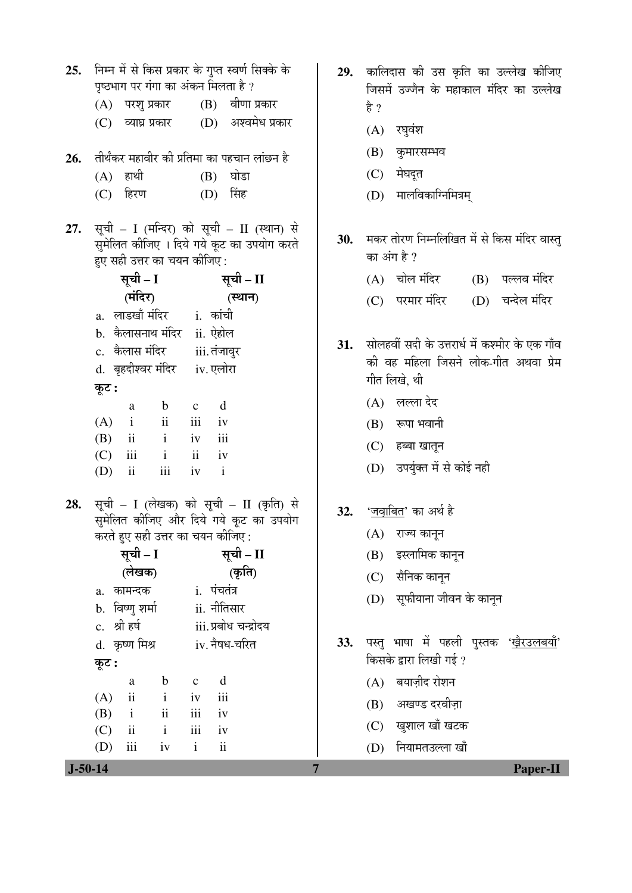| 25. निम्न में से किस प्रकार के गुप्त स्वर्ण सिक्के के |
|-------------------------------------------------------|
| पृष्ठभाग पर गंगा का अंकन मिलता है ?                   |

- (A) परशु प्रकार (B) वीणा प्रकार (C) व्याघ्र प्रकार (D) अश्वमेध प्रकार
- **26.** तीर्थंकर महावीर की प्रतिमा का पहचान लांछन है
	- $(A)$  हाथी  $(B)$  घोडा
	- $(C)$  हिरण  $(D)$  सिंह
- 27. सृची I (मन्दिर) को सृची II (स्थान) से सुमेलित कीजिए । दिये गये कूट का उपयोग करते हए सही उत्तर का चयन कीजिए :

|       |                         | सूची – I            |                     |              | सूची – II |
|-------|-------------------------|---------------------|---------------------|--------------|-----------|
|       |                         | (मंदिर)             |                     |              | (स्थान)   |
|       |                         | a. लाडखाँ मंदिर     |                     | i. कांची     |           |
|       |                         | b.  कैलासनाथ मंदिर  |                     | ii. ऐहोल     |           |
|       |                         | c.   कैलास मंदिर    |                     | iii. तंजावूर |           |
|       |                         | d.  बृहदीश्वर मंदिर |                     | iv. एलोरा    |           |
| कूट : |                         |                     |                     |              |           |
|       | a                       | b                   | $\mathbf c$         | d            |           |
| (A)   | $\mathbf{i}$            | ii                  | iii                 | iv           |           |
|       | $(B)$ ii                | $\mathbf{i}$        | iv                  | iii          |           |
| (C)   | iii                     | $\mathbf{i}$        | $\ddot{\mathbf{i}}$ | iv           |           |
| (D)   | $\overline{\mathbf{u}}$ | iii                 | iv                  | $\mathbf{i}$ |           |

28. सूची – I (लेखक) को सूची – II (कृति) से सुमेलित कीजिए और दिये गये कुट का उपयोग करते हुए सही उत्तर का चयन कीजिए :

|              | सूची - I                |              | सूची - II    |                       |
|--------------|-------------------------|--------------|--------------|-----------------------|
|              | (लेखक)                  |              |              | (कृति)                |
|              | a. कामन्दक              |              |              | i. पंचतंत्र           |
|              | b. विष्णु शर्मा         |              |              | ii. नीतिसार           |
| c. श्री हर्ष |                         |              |              | iii. प्रबोध चन्द्रोदय |
|              | d. कृष्ण मिश्र          |              |              | iv. नैषध-चरित         |
| कूट :        |                         |              |              |                       |
|              | a                       | b            | $\mathbf{c}$ | d                     |
| (A)          | $\overline{\mathbf{u}}$ | $\mathbf{i}$ | iv           | iii                   |
| $(B)$ i      |                         | ii           | iii          | iv                    |
| $(C)$ ii     |                         | $\mathbf{i}$ | iii          | iv                    |
| (D)          | iii                     | iv           | $\mathbf{i}$ | $\ddot{\mathbf{i}}$   |

- 29. कालिदास की उस कृति का उल्लेख कीजिए <u>जिसमें उज्जैन के महाकाल मंदिर का उल्लेख</u> है ?
	- $(A)$  रघुवंश
	- (B) कुमारसम्भव
	- (C) मेघदूत
	- (D) मालविकाग्निमित्रम
- 30. मकर तोरण निम्नलिखित में से किस मंदिर वास्त का अंग है ?
	- $(A)$  चोल मंदिर  $(B)$  पल्लव मंदिर
	- (C) परमार मंदिर (D) चन्देल मंदिर
- 31. सोलहवीं सदी के उत्तरार्ध में कश्मीर के एक गाँव की वह महिला जिसने लोक-गीत अथवा प्रेम गीत लिखे. थी
	- $(A)$  लल्ला देद
	- $(B)$  रूपा भवानी
	- (C) हब्बा खातून
	- (D) उपर्युक्त में से कोई नही
- 32. 'जवाबित' का अर्थ है
	- $(A)$  राज्य कानून
	- (B) इस्लामिक कानून
	- (C) सैनिक कानून
	- (D) सूफीयाना जीवन के कानून
- 33. पस्तु भाषा में पहली पुस्तक '<u>खैरउलबयाँ</u>' किसके द्वारा लिखी गई ?
	- $(A)$  बयाज़ीद रोशन
	- (B) अखण्ड दरवीज़ा
	- (C) खुशाल खाँ खटक
	- (D) नियामतउल्ला खाँ

 **J-50-14 7 Paper-II**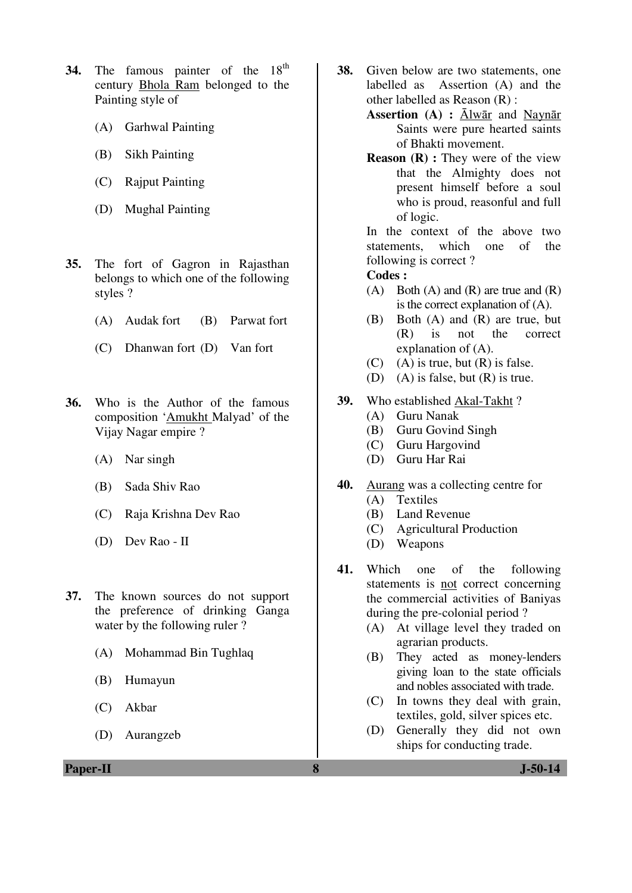- **34.** The famous painter of the 18<sup>th</sup> century Bhola Ram belonged to the Painting style of
	- (A) Garhwal Painting
	- (B) Sikh Painting
	- (C) Rajput Painting
	- (D) Mughal Painting
- **35.** The fort of Gagron in Rajasthan belongs to which one of the following styles ?
	- (A) Audak fort (B) Parwat fort
	- (C) Dhanwan fort (D) Van fort
- **36.** Who is the Author of the famous composition 'Amukht Malyad' of the Vijay Nagar empire ?
	- (A) Nar singh
	- (B) Sada Shiv Rao
	- (C) Raja Krishna Dev Rao
	- (D) Dev Rao II
- **37.** The known sources do not support the preference of drinking Ganga water by the following ruler ?
	- (A) Mohammad Bin Tughlaq
	- (B) Humayun
	- (C) Akbar
	- (D) Aurangzeb
- **Paper-II 8 J-50-14**
- **38.** Given below are two statements, one labelled as Assertion (A) and the other labelled as Reason (R) :
	- **Assertion (A) :** Ālwār and Naynār Saints were pure hearted saints of Bhakti movement.
	- **Reason (R) :** They were of the view that the Almighty does not present himself before a soul who is proud, reasonful and full of logic.

In the context of the above two statements, which one of the following is correct ?

## **Codes :**

- (A) Both (A) and (R) are true and  $(R)$ is the correct explanation of (A).
- (B) Both (A) and (R) are true, but (R) is not the correct explanation of (A).
- $(C)$  (A) is true, but  $(R)$  is false.
- (D) (A) is false, but (R) is true.
- **39.** Who established Akal-Takht ?
	- (A) Guru Nanak
	- (B) Guru Govind Singh
	- (C) Guru Hargovind
	- (D) Guru Har Rai
- **40.** Aurang was a collecting centre for
	- (A) Textiles
	- (B) Land Revenue
	- (C) Agricultural Production
	- (D) Weapons
- **41.** Which one of the following statements is not correct concerning the commercial activities of Baniyas during the pre-colonial period ?
	- (A) At village level they traded on agrarian products.
	- (B) They acted as money-lenders giving loan to the state officials and nobles associated with trade.
	- (C) In towns they deal with grain, textiles, gold, silver spices etc.
	- (D) Generally they did not own ships for conducting trade.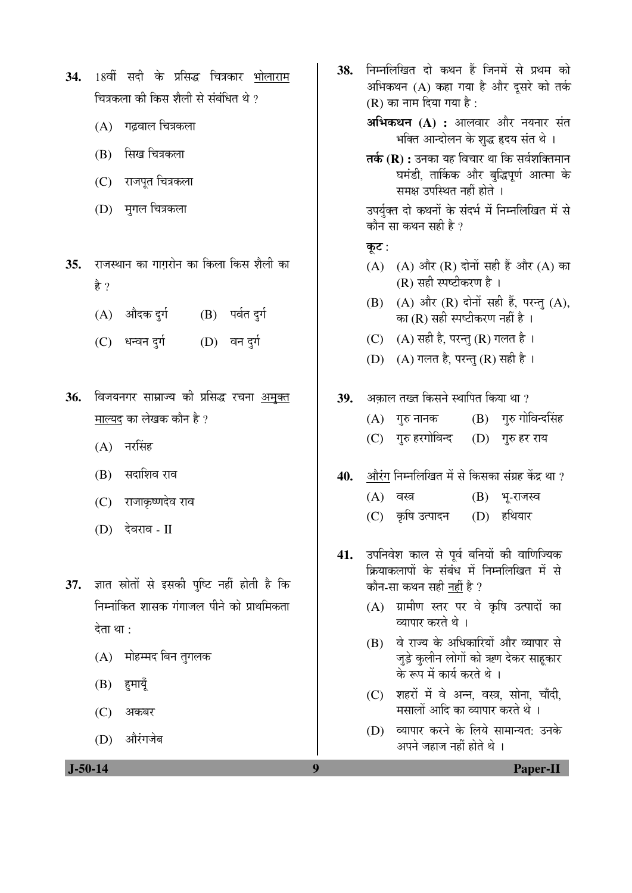|  |  |                                      | <b>34.</b> 18वीं सदी के प्रसिद्ध चित्रकार भोलाराम |
|--|--|--------------------------------------|---------------------------------------------------|
|  |  | चित्रकला की किस शैली से संबंधित थे ? |                                                   |

- $(A)$  गढ़वाल चित्रकला
- $(B)$  सिख चित्रकला
- (C) राजपूत चित्रकला
- (D) मुगल चित्रकला

**35.** राजस्थान का गागरोन का किला किस शैली का है $?$ 

- (A) औदक दुर्ग (B) पर्वत दुर्ग
- (C) धन्वन दुर्ग (D) वन दुर्ग
- 36. विजयनगर साम्राज्य की प्रसिद्ध रचना <u>अमुक्त</u> माल्यद का लेखक कौन है ?
	- $(A)$  नरसिंह
	- $(B)$  सदाशिव राव
	- (C) राजाकृष्णदेव राव
	- (D) देवराव II
- **37.** –ज्ञात स्रोतों से इसकी पुष्टि नहीं होती है कि निम्नांकित शासक गंगाजल पीने को प्राथमिकता देता था $:$ 
	- $(A)$  मोहम्मद बिन तुगलक
	- $(B)$  हुमायूँ
	- $(C)$  अकबर
	- (D) औरंगजेब

| 38. |                                                                           | (R) का नाम दिया गया है :           |  | निम्नलिखित दो कथन हैं जिनमें से प्रथम को<br>अभिकथन (A) कहा गया है और दूसरे को तर्क<br><b>अभिकथन (A) :</b> आलवार और नयनार संत<br>भक्ति आन्दोलन के शुद्ध हृदय संत थे।<br><b>तर्क (R) :</b> उनका यह विचार था कि सर्वशक्तिमान |  |  |
|-----|---------------------------------------------------------------------------|------------------------------------|--|---------------------------------------------------------------------------------------------------------------------------------------------------------------------------------------------------------------------------|--|--|
|     |                                                                           | समक्ष उपस्थित नहीं होते ।          |  | घमंडी, तार्किक और बुद्धिपूर्ण आत्मा के                                                                                                                                                                                    |  |  |
|     | उपर्युक्त दो कथनों के संदर्भ में निम्नलिखित में से<br>कौन सा कथन सही है ? |                                    |  |                                                                                                                                                                                                                           |  |  |
|     | कूट :                                                                     |                                    |  |                                                                                                                                                                                                                           |  |  |
|     | (A)                                                                       | (R) सही स्पष्टीकरण है ।            |  | $(A)$ और $(R)$ दोनों सही हैं और $(A)$ का                                                                                                                                                                                  |  |  |
|     | (B)                                                                       | का (R) सही स्पष्टीकरण नहीं है ।    |  | (A) और (R) दोनों सही हैं, परन्तु (A),                                                                                                                                                                                     |  |  |
|     | (C)                                                                       | (A) सही है, परन्तु (R) गलत है)।    |  |                                                                                                                                                                                                                           |  |  |
|     | (D)                                                                       | (A) गलत है, परन्तु (R) सही है।     |  |                                                                                                                                                                                                                           |  |  |
| 39. |                                                                           | अक़ाल तख्त किसने स्थापित किया था ? |  |                                                                                                                                                                                                                           |  |  |
|     |                                                                           | (A) गुरु नानक                      |  | (B) गुरु गोविन्दसिंह                                                                                                                                                                                                      |  |  |

- (C) गुरु हरगोविन्द (D) गुरु हर राय
- 40. औरंग निम्नलिखित में से किसका संग्रह केंद्र था ?
	- $(A)$  वस्त्र  $(B)$  भ-राजस्व
	- (C) कृषि उत्पादन (D) हथियार
- 41. उपनिवेश काल से पूर्व बनियों की वाणिज्यिक <u>क्रियाकलापों के संबंध में निम्नलिखित में से</u> कौन-सा कथन सही नहीं है ?
	- (A) ग्रामीण स्तर पर वे कृषि उत्पादों का व्यापार करते थे ।
	- (B) वे राज्य के अधिकारियों और व्यापार से जुड़े कुलीन लोगों को ऋण देकर साहूकार के रूप में कार्य करते थे।
	- $(C)$  शहरों में वे अन्न, वस्त्र, सोना, चाँदी, मसालों आदि का व्यापार करते थे ।
	- (D) व्यापार करने के लिये सामान्यत: उनके अपने जहाज नहीं होते थे ।

 **J-50-14 9 Paper-II**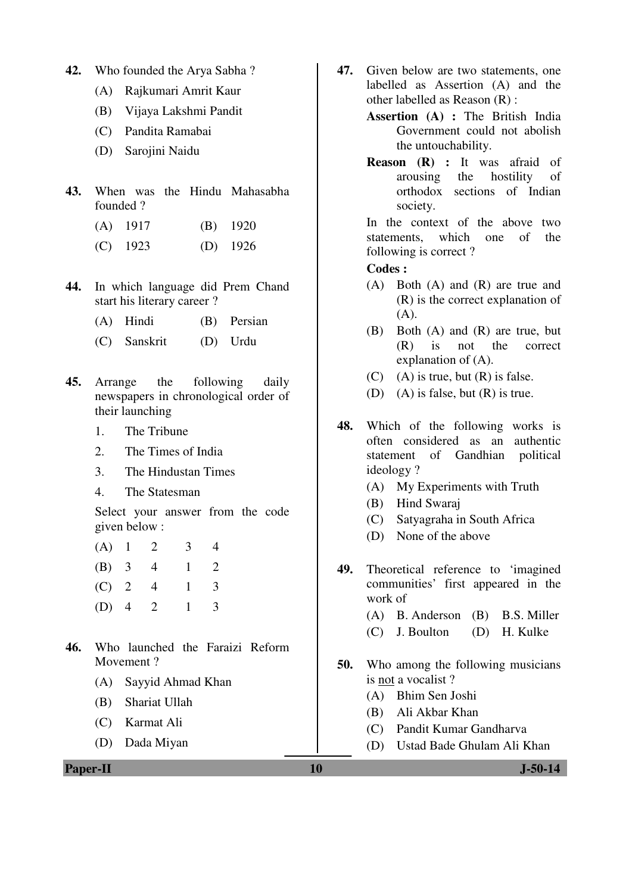- **42.** Who founded the Arya Sabha ?
	- (A) Rajkumari Amrit Kaur
	- (B) Vijaya Lakshmi Pandit
	- (C) Pandita Ramabai
	- (D) Sarojini Naidu
- **43.** When was the Hindu Mahasabha founded ?
	- (A) 1917 (B) 1920
	- (C) 1923 (D) 1926
- **44.** In which language did Prem Chand start his literary career ?
	- (A) Hindi (B) Persian
	- (C) Sanskrit (D) Urdu
- **45.** Arrange the following daily newspapers in chronological order of their launching
	- 1. The Tribune
	- 2. The Times of India
	- 3. The Hindustan Times
	- 4. The Statesman

 Select your answer from the code given below :

- (A) 1 2 3 4 (B) 3 4 1 2
- $(C)$  2 4 1 3
- (D) 4 2 1 3
- **46.** Who launched the Faraizi Reform Movement ?
	- (A) Sayyid Ahmad Khan
	- (B) Shariat Ullah
	- (C) Karmat Ali
	- (D) Dada Miyan

**47.** Given below are two statements, one labelled as Assertion (A) and the other labelled as Reason (R) :

- **Assertion (A) :** The British India Government could not abolish the untouchability.
- **Reason (R) :** It was afraid of arousing the hostility of orthodox sections of Indian society.

In the context of the above two statements, which one of the following is correct ?

### **Codes :**

- (A) Both (A) and (R) are true and (R) is the correct explanation of  $(A).$
- (B) Both (A) and (R) are true, but (R) is not the correct explanation of (A).
- $(C)$  (A) is true, but  $(R)$  is false.
- (D) (A) is false, but (R) is true.
- **48.** Which of the following works is often considered as an authentic statement of Gandhian political ideology ?
	- (A) My Experiments with Truth
	- (B) Hind Swaraj
	- (C) Satyagraha in South Africa
	- (D) None of the above
- **49.** Theoretical reference to 'imagined communities' first appeared in the work of

(A) B. Anderson (B) B.S. Miller

- (C) J. Boulton (D) H. Kulke
- **50.** Who among the following musicians is not a vocalist ?
	- (A) Bhim Sen Joshi
	- (B) Ali Akbar Khan
	- (C) Pandit Kumar Gandharva
	- (D) Ustad Bade Ghulam Ali Khan

**Paper-II** J-50-14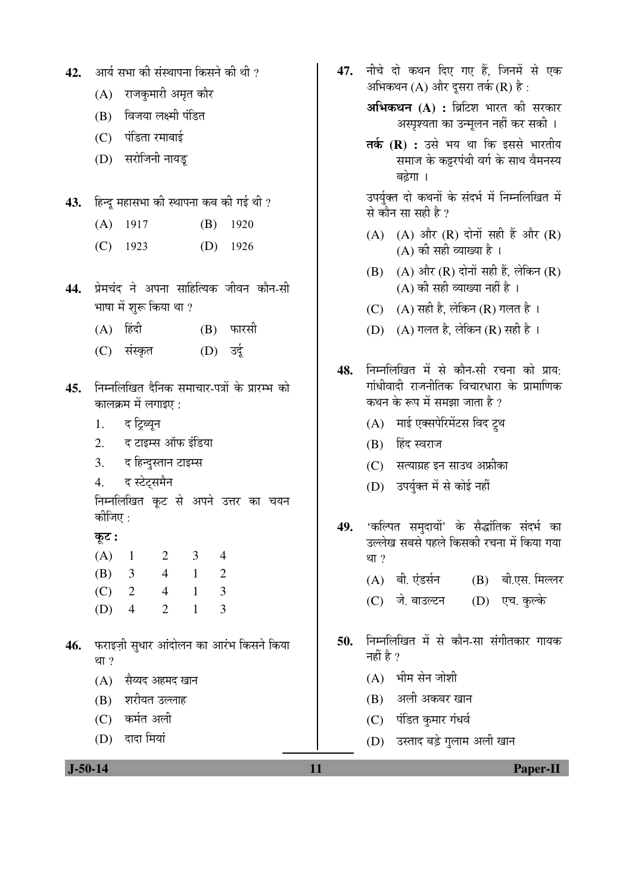| 42.           | आर्य सभा की संस्थापना किसने की थी ?                                   | 47. | नीचे दो कथन दिए गए हैं, जिनमें से एक                                                                                  |
|---------------|-----------------------------------------------------------------------|-----|-----------------------------------------------------------------------------------------------------------------------|
|               | राजकुमारी अमृत कौर<br>(A)                                             |     | अभिकथन (A) और दूसरा तर्क (R) है :<br>अभिकथन (A) : ब्रिटिश भारत की सरकार                                               |
|               | विजया लक्ष्मी पंडित<br>(B)                                            |     | अस्पृश्यता का उन्मूलन नहीं कर सकी ।                                                                                   |
|               | पंडिता रमाबाई<br>(C)                                                  |     | तर्क (R) : उसे भय था कि इससे भारतीय                                                                                   |
|               | सरोजिनी नायडू<br>(D)                                                  |     | समाज के कट्टरपंथी वर्ग के साथ वैमनस्य<br>बढ़ेगा ।                                                                     |
| 43.           | हिन्दू महासभा की स्थापना कब की गई थी ?                                |     | उपर्युक्त दो कथनों के संदर्भ में निम्नलिखित में<br>से कौन सा सही है ?                                                 |
|               | (A)<br>(B)<br>1917<br>1920                                            |     | (A) और (R) दोनों सही हैं और (R)<br>(A)                                                                                |
|               | (C)<br>(D)<br>1923<br>1926                                            |     | (A) की सही व्याख्या है ।                                                                                              |
| 44.           | प्रेमचंद ने अपना साहित्यिक जीवन कौन-सी                                |     | $(A)$ और $(R)$ दोनों सही हैं, लेकिन $(R)$<br>(B)<br>(A) की सही व्याख्या नहीं है ।                                     |
|               | भाषा में शुरू किया था ?                                               |     | $(A)$ सही है, लेकिन (R) गलत है।<br>(C)                                                                                |
|               | हिंदी<br>(B)<br>फारसी<br>(A)                                          |     | $(A)$ गलत है, लेकिन $(R)$ सही है।<br>(D)                                                                              |
|               | $(D)$ उर्दू<br>(C) संस्कृत                                            |     |                                                                                                                       |
| 45.           | निम्नलिखित दैनिक समाचार-पत्रों के प्रारम्भ को<br>कालक्रम में लगाइए :  | 48. | निम्नलिखित में से कौन-सी रचना को प्राय:<br>गांधीवादी राजनीतिक विचारधारा के प्रामाणिक<br>कथन के रूप में समझा जाता है ? |
|               | द ट्रिब्यून<br>1.                                                     |     | माई एक्सपेरिमेंटस विद ट्रुथ<br>(A)                                                                                    |
|               | द टाइम्स ऑफ इंडिया<br>2.                                              |     | हिंद स्वराज<br>(B)                                                                                                    |
|               | द हिन्दुस्तान टाइम्स<br>3.                                            |     | सत्याग्रह इन साउथ अफ्रीका<br>(C)                                                                                      |
|               | द स्टेट्समैन<br>4.                                                    |     | उपर्युक्त में से कोई नहीं<br>(D)                                                                                      |
|               | निम्नलिखित कूट से अपने उत्तर का चयन<br>कीजिए :                        |     |                                                                                                                       |
|               | कूट :<br>(A)<br>$\mathfrak{Z}$<br>$\overline{2}$<br>$\mathbf{1}$<br>4 | 49. | 'कल्पित समुदायों' के सैद्धांतिक संदर्भ का<br>उल्लेख सबसे पहले किसकी रचना में किया गया                                 |
|               | (B)<br>$4 \quad 1$<br>2<br>$\mathfrak{Z}$                             |     | था ?<br>(A) बी. एंडर्सन<br>बी.एस. मिल्लर<br>(B)                                                                       |
|               | (C)<br>$4 \quad 1$<br>3<br>$\overline{2}$                             |     | जे. बाउल्टन<br>एच. कुल्के<br>(D)<br>(C)                                                                               |
|               | (D)<br>$\overline{2}$<br>3<br>$\overline{4}$<br>$\mathbf{1}$          |     |                                                                                                                       |
| 46.           | फराइज़ी सुधार आंदोलन का आरंभ किसने किया<br>था ?                       | 50. | निम्नलिखित में से कौन-सा संगीतकार गायक<br>नहीं है ?                                                                   |
|               | (A)<br>सैय्यद अहमद खान                                                |     | भीम सेन जोशी<br>(A)                                                                                                   |
|               | शरीयत उल्लाह<br>(B)                                                   |     | अली अकबर खान<br>(B)                                                                                                   |
|               | कर्मत अली<br>(C)                                                      |     | (C) पंडित कुमार गंधर्व                                                                                                |
|               | दादा मियां<br>(D)                                                     |     | उस्ताद बड़े गुलाम अली खान<br>(D)                                                                                      |
| $J - 50 - 14$ | 11                                                                    |     | <b>Paper-II</b>                                                                                                       |